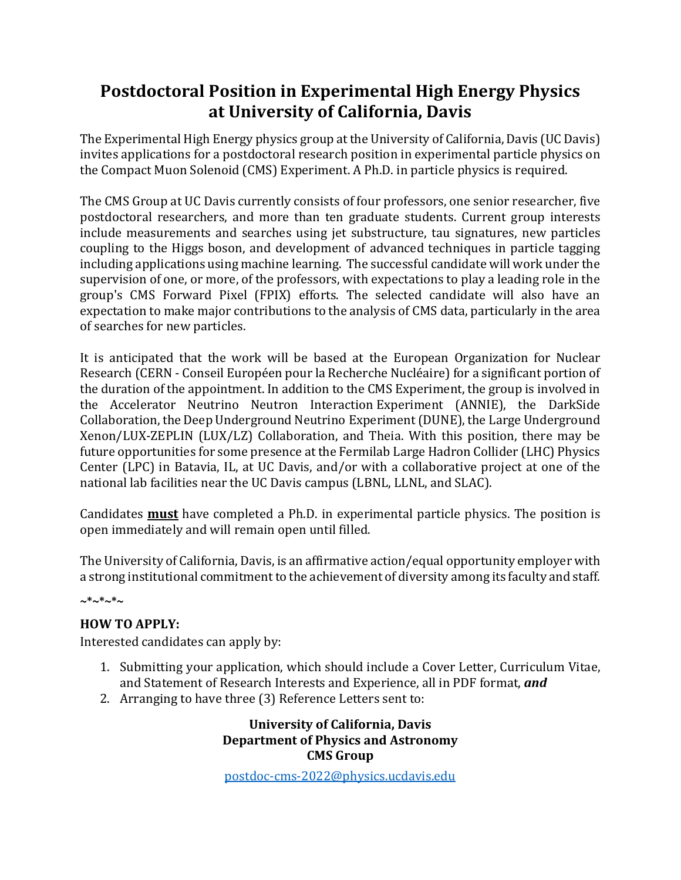# **Postdoctoral Position in Experimental High Energy Physics at University of California, Davis**

The Experimental High Energy physics group at the University of California, Davis (UC Davis) invites applications for a postdoctoral research position in experimental particle physics on the Compact Muon Solenoid (CMS) Experiment. A Ph.D. in particle physics is required.

The CMS Group at UC Davis currently consists of four professors, one senior researcher, five postdoctoral researchers, and more than ten graduate students. Current group interests include measurements and searches using jet substructure, tau signatures, new particles coupling to the Higgs boson, and development of advanced techniques in particle tagging including applications using machine learning. The successful candidate will work under the supervision of one, or more, of the professors, with expectations to play a leading role in the group's CMS Forward Pixel (FPIX) efforts. The selected candidate will also have an expectation to make major contributions to the analysis of CMS data, particularly in the area of searches for new particles.

It is anticipated that the work will be based at the European Organization for Nuclear Research (CERN - Conseil Européen pour la Recherche Nucléaire) for a significant portion of the duration of the appointment. In addition to the CMS Experiment, the group is involved in the Accelerator Neutrino Neutron Interaction Experiment (ANNIE), the DarkSide Collaboration, the Deep Underground Neutrino Experiment(DUNE), the Large Underground Xenon/LUX-ZEPLIN (LUX/LZ) Collaboration, and Theia. With this position, there may be future opportunities for some presence at the Fermilab Large Hadron Collider (LHC) Physics Center (LPC) in Batavia, IL, at UC Davis, and/or with a collaborative project at one of the national lab facilities near the UC Davis campus (LBNL, LLNL, and SLAC).

Candidates **must** have completed a Ph.D. in experimental particle physics. The position is open immediately and will remain open until filled.

The University of California, Davis, is an affirmative action/equal opportunity employer with a strong institutional commitment to the achievement of diversity among its faculty and staff.

**~\*~\*~\*~**

# **HOW TO APPLY:**

Interested candidates can apply by:

- 1. Submitting your application, which should include a Cover Letter, Curriculum Vitae, and Statement of Research Interests and Experience, all in PDF format, *and*
- 2. Arranging to have three (3) Reference Letters sent to:

**University of California, Davis Department of Physics and Astronomy CMS Group**

[postdoc-cms-2022@physics.ucdavis.edu](mailto:postdoc-cms-2022@physics.ucdavis.edu)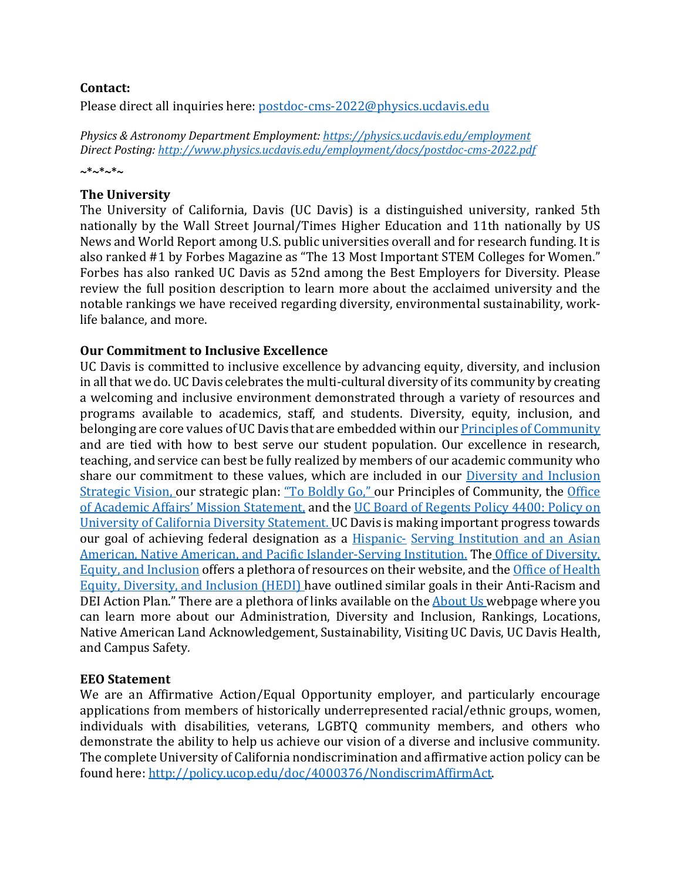# **Contact:**

Please direct all inquiries here: [postdoc-cms-2022@physics.ucdavis.edu](mailto:postdoc-cms-2022@physics.ucdavis.edu)

*Physics & Astronomy Department Employment: <https://physics.ucdavis.edu/employment> Direct Posting: <http://www.physics.ucdavis.edu/employment/docs/postdoc-cms-2022.pdf>* **~\*~\*~\*~**

# **The University**

The University of California, Davis (UC Davis) is a distinguished university, ranked 5th nationally by the Wall Street Journal/Times Higher Education and 11th nationally by US News and World Report among U.S. public universities overall and for research funding. It is also ranked #1 by Forbes Magazine as "The 13 Most Important STEM Colleges for Women." Forbes has also ranked UC Davis as 52nd among the Best Employers for Diversity. Please review the full position description to learn more about the acclaimed university and the notable rankings we have received regarding diversity, environmental sustainability, worklife balance, and more.

# **Our Commitment to Inclusive Excellence**

UC Davis is committed to inclusive excellence by advancing equity, diversity, and inclusion in all that we do. UC Davis celebrates the multi-cultural diversity of its community by creating a welcoming and inclusive environment demonstrated through a variety of resources and programs available to academics, staff, and students. Diversity, equity, inclusion, and belonging are core values of UC Davis that are embedded within ou[r Principles of Community](https://diversity.ucdavis.edu/principles-community)  and are tied with how to best serve our student population. Our excellence in research, teaching, and service can best be fully realized by members of our academic community who share our commitment to these values, which are included in our **Diversity and Inclusion** [Strategic Vision, o](https://diversity.ucdavis.edu/about/strategic-plan)ur strategic plan: ["To Boldly Go," o](https://leadership.ucdavis.edu/strategic-plan)ur Principles of Community, the Office [of Academic Affairs' Mission Statement,](https://academicaffairs.ucdavis.edu/mission-statement) and the [UC Board of Regents Policy 4400: Policy on](https://regents.universityofcalifornia.edu/governance/policies/4400.html)  [University of California Diversity Statement. U](https://regents.universityofcalifornia.edu/governance/policies/4400.html)C Davis is making important progress towards our goal of achieving federal designation as a [Hispanic-](https://diversity.ucdavis.edu/hsi) [Serving Institution and an Asian](https://diversity.ucdavis.edu/hsi)  [American, Native American, and Pacific Islander-Serving Institution.](https://diversity.ucdavis.edu/hsi) The [Office of Diversity,](https://diversity.ucdavis.edu/)  [Equity, and Inclusion](https://diversity.ucdavis.edu/) offers a plethora of resources on their website, and th[e Office of Health](https://health.ucdavis.edu/diversity-inclusion/)  [Equity, Diversity, and Inclusion \(HEDI\) h](https://health.ucdavis.edu/diversity-inclusion/)ave outlined similar goals in their Anti-Racism and DEI Action Plan." There are a plethora of links available on the [About Us w](https://www.ucdavis.edu/about)ebpage where you can learn more about our Administration, Diversity and Inclusion, Rankings, Locations, Native American Land Acknowledgement, Sustainability, Visiting UC Davis, UC Davis Health, and Campus Safety*.*

#### **EEO Statement**

We are an Affirmative Action/Equal Opportunity employer, and particularly encourage applications from members of historically underrepresented racial/ethnic groups, women, individuals with disabilities, veterans, LGBTQ community members, and others who demonstrate the ability to help us achieve our vision of a diverse and inclusive community. The complete University of California nondiscrimination and affirmative action policy can be found here: [http://policy.ucop.edu/doc/4000376/NondiscrimAffirmAct.](http://policy.ucop.edu/doc/4000376/NondiscrimAffirmAct)